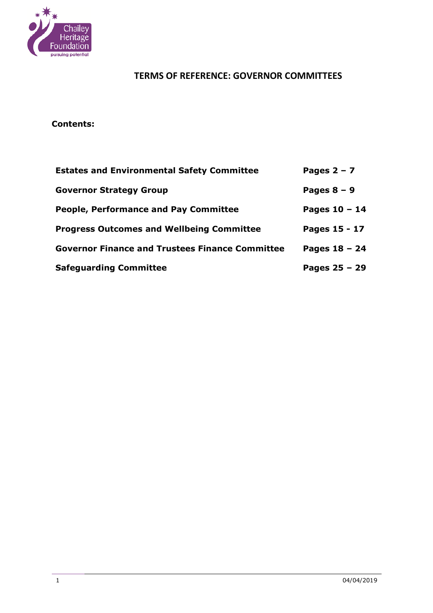

### **Contents:**

| <b>Estates and Environmental Safety Committee</b>      | Pages $2 - 7$   |
|--------------------------------------------------------|-----------------|
| <b>Governor Strategy Group</b>                         | Pages $8 - 9$   |
| <b>People, Performance and Pay Committee</b>           | Pages $10 - 14$ |
| <b>Progress Outcomes and Wellbeing Committee</b>       | Pages 15 - 17   |
| <b>Governor Finance and Trustees Finance Committee</b> | Pages $18 - 24$ |
| <b>Safeguarding Committee</b>                          | Pages $25 - 29$ |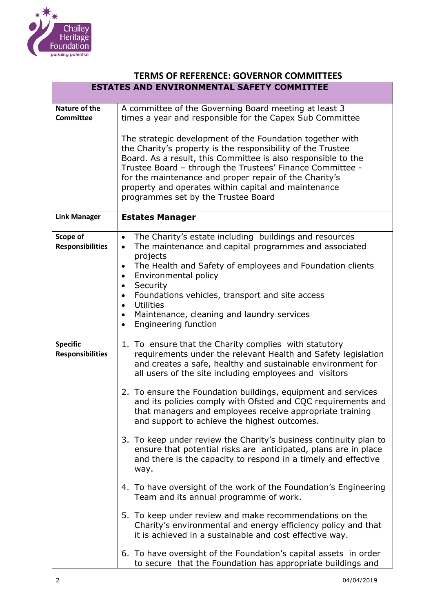

|                                            | <b>TERMS OF REFERENCE: GOVERNOR COMMITTEES</b>                                                                                                                                                                                                                                                                                                                                                                                                                                                                                                                                                                                                                                                                                                                                                                                                                                                                                                                                                                                                                                                                                                         |
|--------------------------------------------|--------------------------------------------------------------------------------------------------------------------------------------------------------------------------------------------------------------------------------------------------------------------------------------------------------------------------------------------------------------------------------------------------------------------------------------------------------------------------------------------------------------------------------------------------------------------------------------------------------------------------------------------------------------------------------------------------------------------------------------------------------------------------------------------------------------------------------------------------------------------------------------------------------------------------------------------------------------------------------------------------------------------------------------------------------------------------------------------------------------------------------------------------------|
|                                            | <b>ESTATES AND ENVIRONMENTAL SAFETY COMMITTEE</b>                                                                                                                                                                                                                                                                                                                                                                                                                                                                                                                                                                                                                                                                                                                                                                                                                                                                                                                                                                                                                                                                                                      |
| Nature of the<br><b>Committee</b>          | A committee of the Governing Board meeting at least 3<br>times a year and responsible for the Capex Sub Committee<br>The strategic development of the Foundation together with<br>the Charity's property is the responsibility of the Trustee<br>Board. As a result, this Committee is also responsible to the<br>Trustee Board - through the Trustees' Finance Committee -<br>for the maintenance and proper repair of the Charity's<br>property and operates within capital and maintenance<br>programmes set by the Trustee Board                                                                                                                                                                                                                                                                                                                                                                                                                                                                                                                                                                                                                   |
| <b>Link Manager</b>                        | <b>Estates Manager</b>                                                                                                                                                                                                                                                                                                                                                                                                                                                                                                                                                                                                                                                                                                                                                                                                                                                                                                                                                                                                                                                                                                                                 |
| Scope of<br><b>Responsibilities</b>        | The Charity's estate including buildings and resources<br>$\bullet$<br>The maintenance and capital programmes and associated<br>$\bullet$<br>projects<br>The Health and Safety of employees and Foundation clients<br>$\bullet$<br>Environmental policy<br>$\bullet$<br>Security<br>$\bullet$<br>Foundations vehicles, transport and site access<br>$\bullet$<br><b>Utilities</b><br>$\bullet$<br>Maintenance, cleaning and laundry services<br>$\bullet$<br>Engineering function<br>$\bullet$                                                                                                                                                                                                                                                                                                                                                                                                                                                                                                                                                                                                                                                         |
| <b>Specific</b><br><b>Responsibilities</b> | 1. To ensure that the Charity complies with statutory<br>requirements under the relevant Health and Safety legislation<br>and creates a safe, healthy and sustainable environment for<br>all users of the site including employees and visitors<br>2. To ensure the Foundation buildings, equipment and services<br>and its policies comply with Ofsted and CQC requirements and<br>that managers and employees receive appropriate training<br>and support to achieve the highest outcomes.<br>3. To keep under review the Charity's business continuity plan to<br>ensure that potential risks are anticipated, plans are in place<br>and there is the capacity to respond in a timely and effective<br>way.<br>4. To have oversight of the work of the Foundation's Engineering<br>Team and its annual programme of work.<br>5. To keep under review and make recommendations on the<br>Charity's environmental and energy efficiency policy and that<br>it is achieved in a sustainable and cost effective way.<br>6. To have oversight of the Foundation's capital assets in order<br>to secure that the Foundation has appropriate buildings and |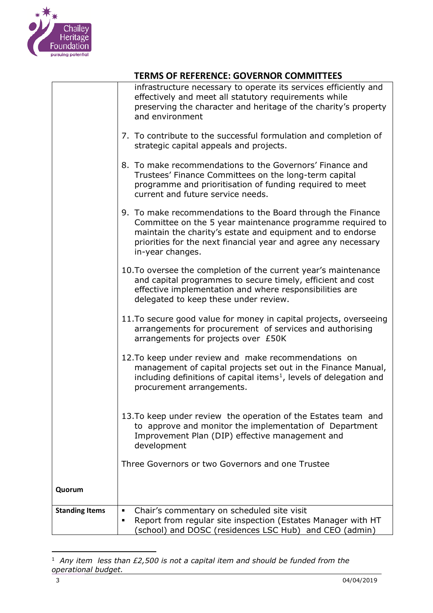

|                       | infrastructure necessary to operate its services efficiently and<br>effectively and meet all statutory requirements while<br>preserving the character and heritage of the charity's property<br>and environment                                                              |
|-----------------------|------------------------------------------------------------------------------------------------------------------------------------------------------------------------------------------------------------------------------------------------------------------------------|
|                       | 7. To contribute to the successful formulation and completion of<br>strategic capital appeals and projects.                                                                                                                                                                  |
|                       | 8. To make recommendations to the Governors' Finance and<br>Trustees' Finance Committees on the long-term capital<br>programme and prioritisation of funding required to meet<br>current and future service needs.                                                           |
|                       | 9. To make recommendations to the Board through the Finance<br>Committee on the 5 year maintenance programme required to<br>maintain the charity's estate and equipment and to endorse<br>priorities for the next financial year and agree any necessary<br>in-year changes. |
|                       | 10. To oversee the completion of the current year's maintenance<br>and capital programmes to secure timely, efficient and cost<br>effective implementation and where responsibilities are<br>delegated to keep these under review.                                           |
|                       | 11. To secure good value for money in capital projects, overseeing<br>arrangements for procurement of services and authorising<br>arrangements for projects over £50K                                                                                                        |
|                       | 12. To keep under review and make recommendations on<br>management of capital projects set out in the Finance Manual,<br>including definitions of capital items <sup>1</sup> , levels of delegation and<br>procurement arrangements.                                         |
|                       | 13. To keep under review the operation of the Estates team and<br>to approve and monitor the implementation of Department<br>Improvement Plan (DIP) effective management and<br>development                                                                                  |
|                       | Three Governors or two Governors and one Trustee                                                                                                                                                                                                                             |
| Quorum                |                                                                                                                                                                                                                                                                              |
| <b>Standing Items</b> | Chair's commentary on scheduled site visit<br>Report from regular site inspection (Estates Manager with HT<br>٠<br>(school) and DOSC (residences LSC Hub) and CEO (admin)                                                                                                    |

j  $1$  Any item less than £2,500 is not a capital item and should be funded from the *operational budget.*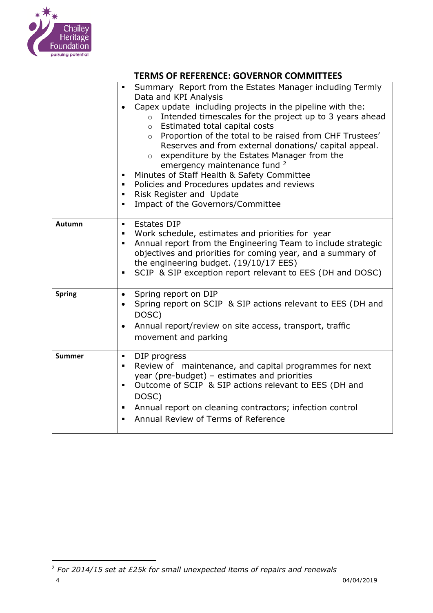

|               | <b>TERMS OF REFERENCE: GOVERNOR COMMITTEES</b>                                                                                                                                                                                                                                                                                                                                                                                                                                                                                                                                                                                                                                                               |
|---------------|--------------------------------------------------------------------------------------------------------------------------------------------------------------------------------------------------------------------------------------------------------------------------------------------------------------------------------------------------------------------------------------------------------------------------------------------------------------------------------------------------------------------------------------------------------------------------------------------------------------------------------------------------------------------------------------------------------------|
|               | Summary Report from the Estates Manager including Termly<br>$\blacksquare$<br>Data and KPI Analysis<br>Capex update including projects in the pipeline with the:<br>$\bullet$<br>Intended timescales for the project up to 3 years ahead<br>$\circ$<br>Estimated total capital costs<br>$\circ$<br>o Proportion of the total to be raised from CHF Trustees'<br>Reserves and from external donations/ capital appeal.<br>expenditure by the Estates Manager from the<br>$\circ$<br>emergency maintenance fund <sup>2</sup><br>Minutes of Staff Health & Safety Committee<br>٠<br>Policies and Procedures updates and reviews<br>٠<br>Risk Register and Update<br>٠<br>Impact of the Governors/Committee<br>٠ |
| Autumn        | <b>Estates DIP</b><br>$\blacksquare$<br>Work schedule, estimates and priorities for year<br>٠<br>Annual report from the Engineering Team to include strategic<br>٠<br>objectives and priorities for coming year, and a summary of<br>the engineering budget. (19/10/17 EES)<br>SCIP & SIP exception report relevant to EES (DH and DOSC)<br>٠                                                                                                                                                                                                                                                                                                                                                                |
| <b>Spring</b> | Spring report on DIP<br>٠<br>Spring report on SCIP & SIP actions relevant to EES (DH and<br>DOSC)<br>Annual report/review on site access, transport, traffic<br>٠<br>movement and parking                                                                                                                                                                                                                                                                                                                                                                                                                                                                                                                    |
| <b>Summer</b> | DIP progress<br>$\blacksquare$<br>Review of maintenance, and capital programmes for next<br>٠<br>year (pre-budget) - estimates and priorities<br>Outcome of SCIP & SIP actions relevant to EES (DH and<br>٠<br>DOSC)<br>Annual report on cleaning contractors; infection control<br>٠                                                                                                                                                                                                                                                                                                                                                                                                                        |

▪ Annual Review of Terms of Reference

 $\overline{a}$ <sup>2</sup> *For 2014/15 set at £25k for small unexpected items of repairs and renewals*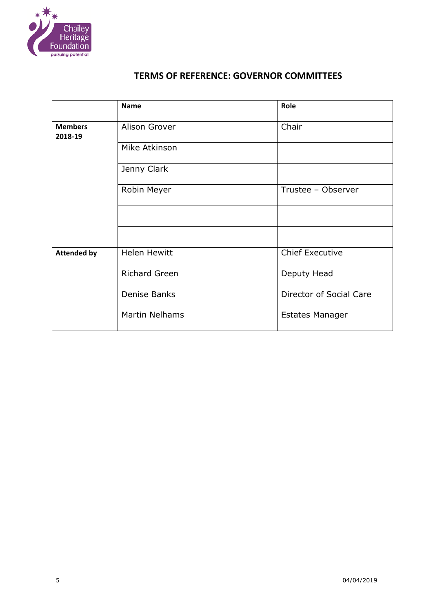

|                           | <b>Name</b>           | Role                    |
|---------------------------|-----------------------|-------------------------|
| <b>Members</b><br>2018-19 | Alison Grover         | Chair                   |
|                           | Mike Atkinson         |                         |
|                           | Jenny Clark           |                         |
|                           | Robin Meyer           | Trustee - Observer      |
|                           |                       |                         |
|                           |                       |                         |
| <b>Attended by</b>        | <b>Helen Hewitt</b>   | <b>Chief Executive</b>  |
|                           | <b>Richard Green</b>  | Deputy Head             |
|                           | Denise Banks          | Director of Social Care |
|                           | <b>Martin Nelhams</b> | <b>Estates Manager</b>  |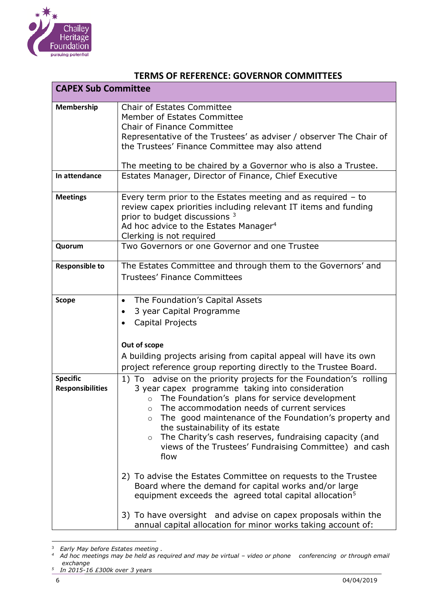

| <b>CAPEX Sub Committee</b>                 |                                                                                                                                                                                                                                                                                                                                                                                                                                                                        |
|--------------------------------------------|------------------------------------------------------------------------------------------------------------------------------------------------------------------------------------------------------------------------------------------------------------------------------------------------------------------------------------------------------------------------------------------------------------------------------------------------------------------------|
| Membership                                 | <b>Chair of Estates Committee</b><br>Member of Estates Committee<br><b>Chair of Finance Committee</b><br>Representative of the Trustees' as adviser / observer The Chair of<br>the Trustees' Finance Committee may also attend<br>The meeting to be chaired by a Governor who is also a Trustee.                                                                                                                                                                       |
| In attendance                              | Estates Manager, Director of Finance, Chief Executive                                                                                                                                                                                                                                                                                                                                                                                                                  |
| <b>Meetings</b>                            | Every term prior to the Estates meeting and as required $-$ to<br>review capex priorities including relevant IT items and funding<br>prior to budget discussions 3<br>Ad hoc advice to the Estates Manager <sup>4</sup><br>Clerking is not required                                                                                                                                                                                                                    |
| Quorum                                     | Two Governors or one Governor and one Trustee                                                                                                                                                                                                                                                                                                                                                                                                                          |
| <b>Responsible to</b>                      | The Estates Committee and through them to the Governors' and<br><b>Trustees' Finance Committees</b>                                                                                                                                                                                                                                                                                                                                                                    |
| <b>Scope</b>                               | The Foundation's Capital Assets<br>$\bullet$<br>3 year Capital Programme<br>٠<br>Capital Projects<br>Out of scope<br>A building projects arising from capital appeal will have its own<br>project reference group reporting directly to the Trustee Board.                                                                                                                                                                                                             |
| <b>Specific</b><br><b>Responsibilities</b> | 1) To advise on the priority projects for the Foundation's rolling<br>3 year capex programme taking into consideration<br>The Foundation's plans for service development<br>The accommodation needs of current services<br>The good maintenance of the Foundation's property and<br>$\circ$<br>the sustainability of its estate<br>The Charity's cash reserves, fundraising capacity (and<br>$\circ$<br>views of the Trustees' Fundraising Committee) and cash<br>flow |
|                                            | 2) To advise the Estates Committee on requests to the Trustee<br>Board where the demand for capital works and/or large<br>equipment exceeds the agreed total capital allocation <sup>5</sup>                                                                                                                                                                                                                                                                           |
|                                            | 3) To have oversight and advise on capex proposals within the<br>annual capital allocation for minor works taking account of:                                                                                                                                                                                                                                                                                                                                          |

 3 *Early May before Estates meeting . 4 Ad hoc meetings may be held as required and may be virtual – video or phone conferencing or through email exchange 5 In 2015-16 £300k over 3 years*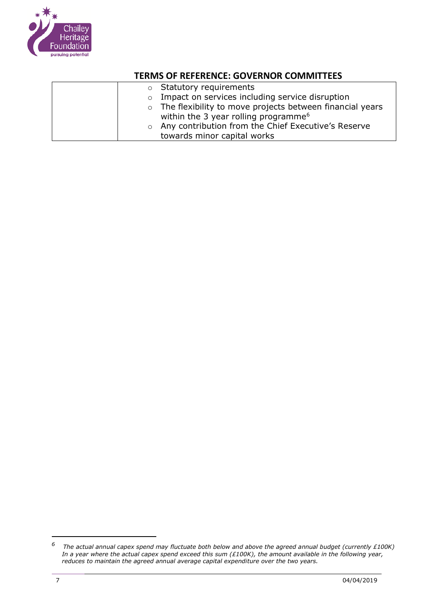

|  | $\circ$ Statutory requirements                             |
|--|------------------------------------------------------------|
|  | $\circ$ Impact on services including service disruption    |
|  | o The flexibility to move projects between financial years |
|  | within the 3 year rolling programme <sup>6</sup>           |
|  | o Any contribution from the Chief Executive's Reserve      |
|  | towards minor capital works                                |

*<sup>6</sup> The actual annual capex spend may fluctuate both below and above the agreed annual budget (currently £100K) In a year where the actual capex spend exceed this sum (£100K), the amount available in the following year, reduces to maintain the agreed annual average capital expenditure over the two years.*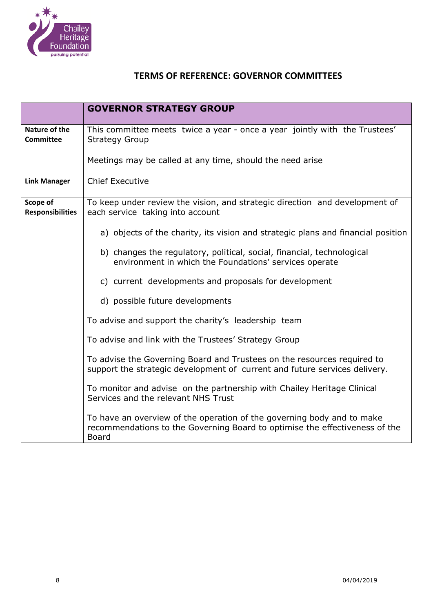

|                                     | <b>GOVERNOR STRATEGY GROUP</b>                                                                                                                                        |
|-------------------------------------|-----------------------------------------------------------------------------------------------------------------------------------------------------------------------|
| Nature of the<br><b>Committee</b>   | This committee meets twice a year - once a year jointly with the Trustees'<br><b>Strategy Group</b>                                                                   |
|                                     | Meetings may be called at any time, should the need arise                                                                                                             |
| <b>Link Manager</b>                 | <b>Chief Executive</b>                                                                                                                                                |
| Scope of<br><b>Responsibilities</b> | To keep under review the vision, and strategic direction and development of<br>each service taking into account                                                       |
|                                     | a) objects of the charity, its vision and strategic plans and financial position                                                                                      |
|                                     | b) changes the regulatory, political, social, financial, technological<br>environment in which the Foundations' services operate                                      |
|                                     | c) current developments and proposals for development                                                                                                                 |
|                                     | d) possible future developments                                                                                                                                       |
|                                     | To advise and support the charity's leadership team                                                                                                                   |
|                                     | To advise and link with the Trustees' Strategy Group                                                                                                                  |
|                                     | To advise the Governing Board and Trustees on the resources required to<br>support the strategic development of current and future services delivery.                 |
|                                     | To monitor and advise on the partnership with Chailey Heritage Clinical<br>Services and the relevant NHS Trust                                                        |
|                                     | To have an overview of the operation of the governing body and to make<br>recommendations to the Governing Board to optimise the effectiveness of the<br><b>Board</b> |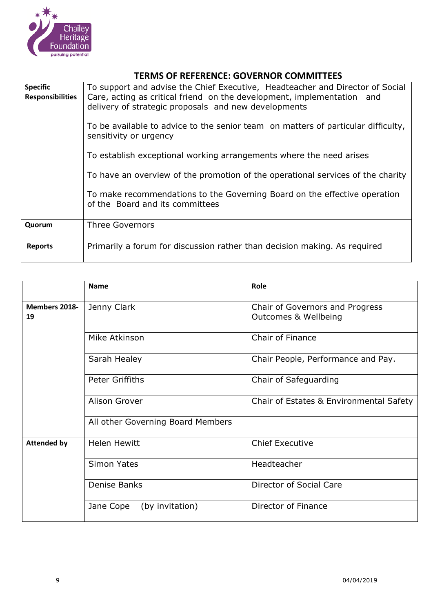

| <b>Specific</b><br><b>Responsibilities</b> | To support and advise the Chief Executive, Headteacher and Director of Social<br>Care, acting as critical friend on the development, implementation and<br>delivery of strategic proposals and new developments<br>To be available to advice to the senior team on matters of particular difficulty,<br>sensitivity or urgency<br>To establish exceptional working arrangements where the need arises<br>To have an overview of the promotion of the operational services of the charity<br>To make recommendations to the Governing Board on the effective operation<br>of the Board and its committees |
|--------------------------------------------|----------------------------------------------------------------------------------------------------------------------------------------------------------------------------------------------------------------------------------------------------------------------------------------------------------------------------------------------------------------------------------------------------------------------------------------------------------------------------------------------------------------------------------------------------------------------------------------------------------|
| Quorum                                     | <b>Three Governors</b>                                                                                                                                                                                                                                                                                                                                                                                                                                                                                                                                                                                   |
| <b>Reports</b>                             | Primarily a forum for discussion rather than decision making. As required                                                                                                                                                                                                                                                                                                                                                                                                                                                                                                                                |

|                            | <b>Name</b>                       | Role                                                               |
|----------------------------|-----------------------------------|--------------------------------------------------------------------|
| <b>Members 2018-</b><br>19 | Jenny Clark                       | Chair of Governors and Progress<br><b>Outcomes &amp; Wellbeing</b> |
|                            | Mike Atkinson                     | <b>Chair of Finance</b>                                            |
|                            | Sarah Healey                      | Chair People, Performance and Pay.                                 |
|                            | Peter Griffiths                   | Chair of Safeguarding                                              |
|                            | Alison Grover                     | Chair of Estates & Environmental Safety                            |
|                            | All other Governing Board Members |                                                                    |
| <b>Attended by</b>         | <b>Helen Hewitt</b>               | <b>Chief Executive</b>                                             |
|                            | <b>Simon Yates</b>                | Headteacher                                                        |
|                            | Denise Banks                      | Director of Social Care                                            |
|                            | (by invitation)<br>Jane Cope      | Director of Finance                                                |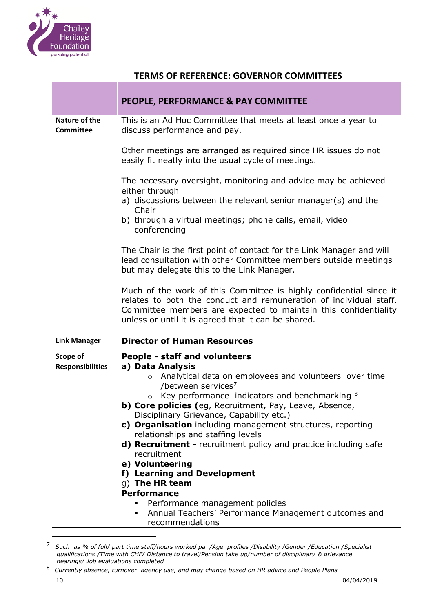

| <b>PEOPLE, PERFORMANCE &amp; PAY COMMITTEE</b>                                                                                                                                                                                                                                                                                                                                                                                                                                                                                                                                                                                                                                                                               |
|------------------------------------------------------------------------------------------------------------------------------------------------------------------------------------------------------------------------------------------------------------------------------------------------------------------------------------------------------------------------------------------------------------------------------------------------------------------------------------------------------------------------------------------------------------------------------------------------------------------------------------------------------------------------------------------------------------------------------|
| This is an Ad Hoc Committee that meets at least once a year to<br>discuss performance and pay.                                                                                                                                                                                                                                                                                                                                                                                                                                                                                                                                                                                                                               |
| Other meetings are arranged as required since HR issues do not<br>easily fit neatly into the usual cycle of meetings.                                                                                                                                                                                                                                                                                                                                                                                                                                                                                                                                                                                                        |
| The necessary oversight, monitoring and advice may be achieved<br>either through                                                                                                                                                                                                                                                                                                                                                                                                                                                                                                                                                                                                                                             |
| a) discussions between the relevant senior manager(s) and the<br>Chair<br>b) through a virtual meetings; phone calls, email, video<br>conferencing                                                                                                                                                                                                                                                                                                                                                                                                                                                                                                                                                                           |
| The Chair is the first point of contact for the Link Manager and will<br>lead consultation with other Committee members outside meetings<br>but may delegate this to the Link Manager.                                                                                                                                                                                                                                                                                                                                                                                                                                                                                                                                       |
| Much of the work of this Committee is highly confidential since it<br>relates to both the conduct and remuneration of individual staff.<br>Committee members are expected to maintain this confidentiality<br>unless or until it is agreed that it can be shared.                                                                                                                                                                                                                                                                                                                                                                                                                                                            |
| <b>Director of Human Resources</b>                                                                                                                                                                                                                                                                                                                                                                                                                                                                                                                                                                                                                                                                                           |
| People - staff and volunteers<br>a) Data Analysis<br>Analytical data on employees and volunteers over time<br>$\circ$<br>/between services <sup>7</sup><br>Key performance indicators and benchmarking 8<br>$\circ$<br>b) Core policies (eg, Recruitment, Pay, Leave, Absence,<br>Disciplinary Grievance, Capability etc.)<br>c) Organisation including management structures, reporting<br>relationships and staffing levels<br>d) Recruitment - recruitment policy and practice including safe<br>recruitment<br>e) Volunteering<br>f) Learning and Development<br>q) The HR team<br><b>Performance</b><br>Performance management policies<br>Annual Teachers' Performance Management outcomes and<br>٠<br>recommendations |
|                                                                                                                                                                                                                                                                                                                                                                                                                                                                                                                                                                                                                                                                                                                              |

<sup>7</sup> *Such as % of full/ part time staff/hours worked pa /Age profiles /Disability /Gender /Education /Specialist qualifications /Time with CHF/ Distance to travel/Pension take up/number of disciplinary & grievance hearings/ Job evaluations completed*

<sup>8</sup> *Currently absence, turnover agency use, and may change based on HR advice and People Plans*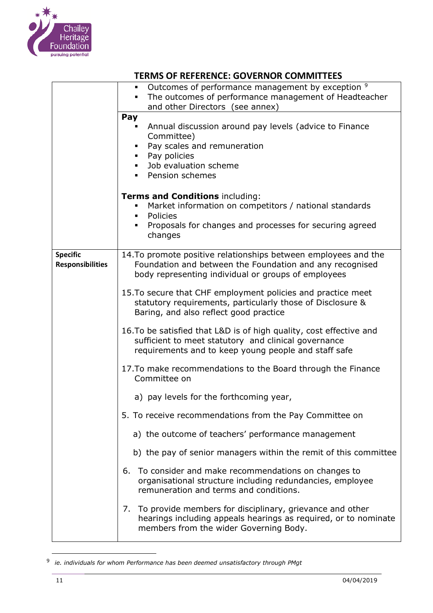

|                                            | Outcomes of performance management by exception 9<br>The outcomes of performance management of Headteacher<br>and other Directors (see annex)                                         |  |
|--------------------------------------------|---------------------------------------------------------------------------------------------------------------------------------------------------------------------------------------|--|
|                                            | Pay<br>Annual discussion around pay levels (advice to Finance<br>Committee)<br>Pay scales and remuneration<br>Pay policies<br>Job evaluation scheme<br>٠<br>Pension schemes           |  |
|                                            | Terms and Conditions including:<br>Market information on competitors / national standards<br>Policies<br>٠<br>Proposals for changes and processes for securing agreed<br>٠<br>changes |  |
| <b>Specific</b><br><b>Responsibilities</b> | 14. To promote positive relationships between employees and the<br>Foundation and between the Foundation and any recognised<br>body representing individual or groups of employees    |  |
|                                            | 15. To secure that CHF employment policies and practice meet<br>statutory requirements, particularly those of Disclosure &<br>Baring, and also reflect good practice                  |  |
|                                            | 16. To be satisfied that L&D is of high quality, cost effective and<br>sufficient to meet statutory and clinical governance<br>requirements and to keep young people and staff safe   |  |
|                                            | 17. To make recommendations to the Board through the Finance<br>Committee on                                                                                                          |  |
|                                            | a) pay levels for the forthcoming year,                                                                                                                                               |  |
|                                            | 5. To receive recommendations from the Pay Committee on                                                                                                                               |  |
|                                            | a) the outcome of teachers' performance management                                                                                                                                    |  |
|                                            | b) the pay of senior managers within the remit of this committee                                                                                                                      |  |
|                                            | To consider and make recommendations on changes to<br>6.<br>organisational structure including redundancies, employee<br>remuneration and terms and conditions.                       |  |
|                                            | 7. To provide members for disciplinary, grievance and other<br>hearings including appeals hearings as required, or to nominate<br>members from the wider Governing Body.              |  |

<sup>9</sup> *ie. individuals for whom Performance has been deemed unsatisfactory through PMgt*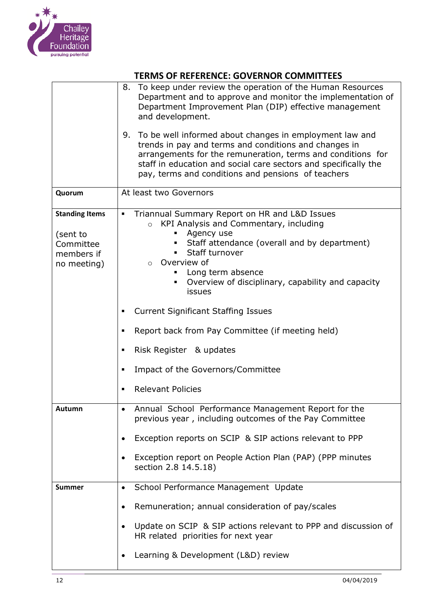

|                                                                             | To keep under review the operation of the Human Resources<br>8.<br>Department and to approve and monitor the implementation of<br>Department Improvement Plan (DIP) effective management<br>and development.                                                                                                |  |
|-----------------------------------------------------------------------------|-------------------------------------------------------------------------------------------------------------------------------------------------------------------------------------------------------------------------------------------------------------------------------------------------------------|--|
|                                                                             | 9. To be well informed about changes in employment law and<br>trends in pay and terms and conditions and changes in<br>arrangements for the remuneration, terms and conditions for<br>staff in education and social care sectors and specifically the<br>pay, terms and conditions and pensions of teachers |  |
| Quorum                                                                      | At least two Governors                                                                                                                                                                                                                                                                                      |  |
| <b>Standing Items</b><br>(sent to<br>Committee<br>members if<br>no meeting) | Triannual Summary Report on HR and L&D Issues<br>٠<br>KPI Analysis and Commentary, including<br>$\circ$<br>Agency use<br>Staff attendance (overall and by department)<br>Staff turnover<br>Overview of<br>$\circ$<br>Long term absence<br>Overview of disciplinary, capability and capacity<br>issues       |  |
|                                                                             | <b>Current Significant Staffing Issues</b><br>٠                                                                                                                                                                                                                                                             |  |
|                                                                             | Report back from Pay Committee (if meeting held)<br>٠                                                                                                                                                                                                                                                       |  |
|                                                                             | Risk Register & updates<br>٠                                                                                                                                                                                                                                                                                |  |
|                                                                             | Impact of the Governors/Committee<br>٠                                                                                                                                                                                                                                                                      |  |
|                                                                             | <b>Relevant Policies</b><br>$\blacksquare$                                                                                                                                                                                                                                                                  |  |
| Autumn                                                                      | Annual School Performance Management Report for the<br>previous year, including outcomes of the Pay Committee                                                                                                                                                                                               |  |
|                                                                             | Exception reports on SCIP & SIP actions relevant to PPP<br>٠                                                                                                                                                                                                                                                |  |
|                                                                             | Exception report on People Action Plan (PAP) (PPP minutes<br>section 2.8 14.5.18)                                                                                                                                                                                                                           |  |
| Summer                                                                      | School Performance Management Update<br>$\bullet$                                                                                                                                                                                                                                                           |  |
|                                                                             | Remuneration; annual consideration of pay/scales<br>٠                                                                                                                                                                                                                                                       |  |
|                                                                             | Update on SCIP & SIP actions relevant to PPP and discussion of<br>$\bullet$<br>HR related priorities for next year                                                                                                                                                                                          |  |
|                                                                             | Learning & Development (L&D) review<br>٠                                                                                                                                                                                                                                                                    |  |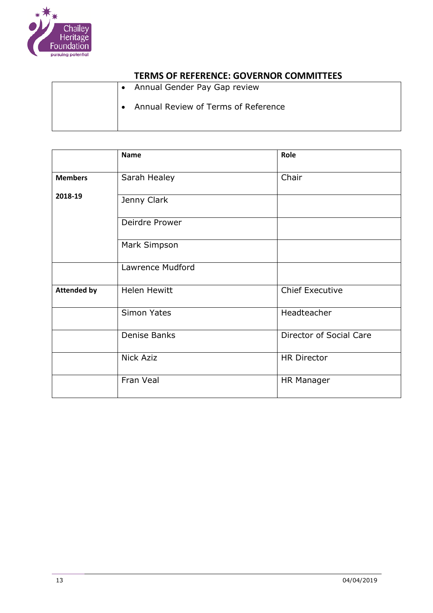

| • Annual Gender Pay Gap review                   |
|--------------------------------------------------|
| Annual Review of Terms of Reference<br>$\bullet$ |
|                                                  |

|                    | <b>Name</b>         | Role                    |
|--------------------|---------------------|-------------------------|
| <b>Members</b>     | Sarah Healey        | Chair                   |
| 2018-19            | Jenny Clark         |                         |
|                    | Deirdre Prower      |                         |
|                    | Mark Simpson        |                         |
|                    | Lawrence Mudford    |                         |
| <b>Attended by</b> | <b>Helen Hewitt</b> | <b>Chief Executive</b>  |
|                    | <b>Simon Yates</b>  | Headteacher             |
|                    | Denise Banks        | Director of Social Care |
|                    | <b>Nick Aziz</b>    | <b>HR Director</b>      |
|                    | Fran Veal           | <b>HR Manager</b>       |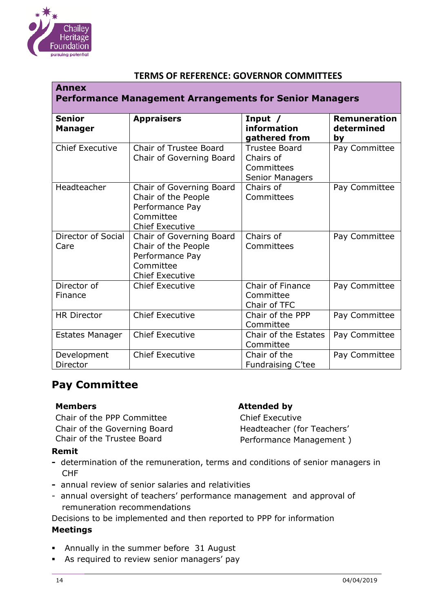

| <b>Annex</b><br><b>Performance Management Arrangements for Senior Managers</b> |                                                                                                           |                                                                    |                                         |
|--------------------------------------------------------------------------------|-----------------------------------------------------------------------------------------------------------|--------------------------------------------------------------------|-----------------------------------------|
| <b>Senior</b><br><b>Manager</b>                                                | <b>Appraisers</b>                                                                                         | Input $/$<br>information<br>gathered from                          | <b>Remuneration</b><br>determined<br>by |
| <b>Chief Executive</b>                                                         | <b>Chair of Trustee Board</b><br>Chair of Governing Board                                                 | <b>Trustee Board</b><br>Chairs of<br>Committees<br>Senior Managers | Pay Committee                           |
| Headteacher                                                                    | Chair of Governing Board<br>Chair of the People<br>Performance Pay<br>Committee<br><b>Chief Executive</b> | Chairs of<br>Committees                                            | Pay Committee                           |
| Director of Social<br>Care                                                     | Chair of Governing Board<br>Chair of the People<br>Performance Pay<br>Committee<br><b>Chief Executive</b> | Chairs of<br>Committees                                            | Pay Committee                           |
| Director of<br>Finance                                                         | <b>Chief Executive</b>                                                                                    | Chair of Finance<br>Committee<br>Chair of TFC                      | Pay Committee                           |
| <b>HR Director</b>                                                             | <b>Chief Executive</b>                                                                                    | Chair of the PPP<br>Committee                                      | Pay Committee                           |
| <b>Estates Manager</b>                                                         | <b>Chief Executive</b>                                                                                    | Chair of the Estates<br>Committee                                  | Pay Committee                           |
| Development<br>Director                                                        | <b>Chief Executive</b>                                                                                    | Chair of the<br>Fundraising C'tee                                  | Pay Committee                           |

# **Pay Committee**

Chair of the PPP Committee Chief Executive Chair of the Governing Board Headteacher (for Teachers' Chair of the Trustee Board **Performance Management** )

#### **Members Attended by**

#### **Remit**

- determination of the remuneration, terms and conditions of senior managers in CHF
- **-** annual review of senior salaries and relativities
- annual oversight of teachers' performance management and approval of remuneration recommendations

Decisions to be implemented and then reported to PPP for information

#### **Meetings**

- **■** Annually in the summer before 31 August
- **EXED:** As required to review senior managers' pay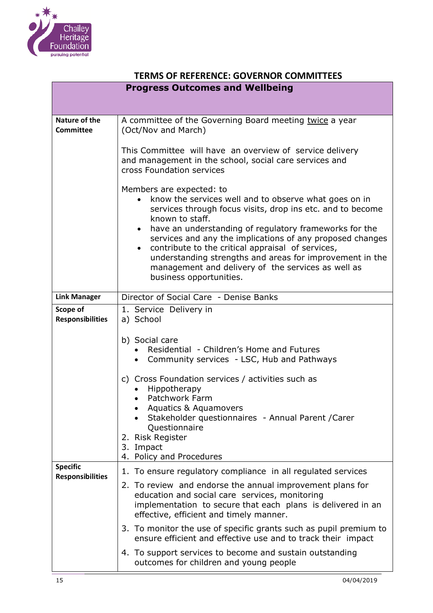

| <b>TERMS OF REFERENCE: GOVERNOR COMMITTEES</b>                                                                                                                                                                        |                                                                                                                                                                                                                                                                                                                                                                                                                                                                                                          |  |  |  |
|-----------------------------------------------------------------------------------------------------------------------------------------------------------------------------------------------------------------------|----------------------------------------------------------------------------------------------------------------------------------------------------------------------------------------------------------------------------------------------------------------------------------------------------------------------------------------------------------------------------------------------------------------------------------------------------------------------------------------------------------|--|--|--|
| <b>Progress Outcomes and Wellbeing</b>                                                                                                                                                                                |                                                                                                                                                                                                                                                                                                                                                                                                                                                                                                          |  |  |  |
|                                                                                                                                                                                                                       |                                                                                                                                                                                                                                                                                                                                                                                                                                                                                                          |  |  |  |
| Nature of the<br><b>Committee</b>                                                                                                                                                                                     | A committee of the Governing Board meeting twice a year<br>(Oct/Nov and March)                                                                                                                                                                                                                                                                                                                                                                                                                           |  |  |  |
|                                                                                                                                                                                                                       | This Committee will have an overview of service delivery<br>and management in the school, social care services and<br>cross Foundation services                                                                                                                                                                                                                                                                                                                                                          |  |  |  |
|                                                                                                                                                                                                                       | Members are expected: to<br>know the services well and to observe what goes on in<br>services through focus visits, drop ins etc. and to become<br>known to staff.<br>have an understanding of regulatory frameworks for the<br>services and any the implications of any proposed changes<br>contribute to the critical appraisal of services,<br>$\bullet$<br>understanding strengths and areas for improvement in the<br>management and delivery of the services as well as<br>business opportunities. |  |  |  |
| <b>Link Manager</b>                                                                                                                                                                                                   | Director of Social Care - Denise Banks                                                                                                                                                                                                                                                                                                                                                                                                                                                                   |  |  |  |
| Scope of<br><b>Responsibilities</b>                                                                                                                                                                                   | 1. Service Delivery in<br>a) School                                                                                                                                                                                                                                                                                                                                                                                                                                                                      |  |  |  |
|                                                                                                                                                                                                                       | b) Social care<br>Residential - Children's Home and Futures<br>Community services - LSC, Hub and Pathways                                                                                                                                                                                                                                                                                                                                                                                                |  |  |  |
|                                                                                                                                                                                                                       | c) Cross Foundation services / activities such as<br>Hippotherapy<br>Patchwork Farm<br>Aquatics & Aquamovers<br>Stakeholder questionnaires - Annual Parent / Carer<br>Questionnaire<br>2. Risk Register                                                                                                                                                                                                                                                                                                  |  |  |  |
|                                                                                                                                                                                                                       | 3. Impact<br>4. Policy and Procedures                                                                                                                                                                                                                                                                                                                                                                                                                                                                    |  |  |  |
| <b>Specific</b><br><b>Responsibilities</b>                                                                                                                                                                            | 1. To ensure regulatory compliance in all regulated services                                                                                                                                                                                                                                                                                                                                                                                                                                             |  |  |  |
| 2. To review and endorse the annual improvement plans for<br>education and social care services, monitoring<br>implementation to secure that each plans is delivered in an<br>effective, efficient and timely manner. |                                                                                                                                                                                                                                                                                                                                                                                                                                                                                                          |  |  |  |
|                                                                                                                                                                                                                       | 3. To monitor the use of specific grants such as pupil premium to<br>ensure efficient and effective use and to track their impact                                                                                                                                                                                                                                                                                                                                                                        |  |  |  |
|                                                                                                                                                                                                                       | 4. To support services to become and sustain outstanding<br>outcomes for children and young people                                                                                                                                                                                                                                                                                                                                                                                                       |  |  |  |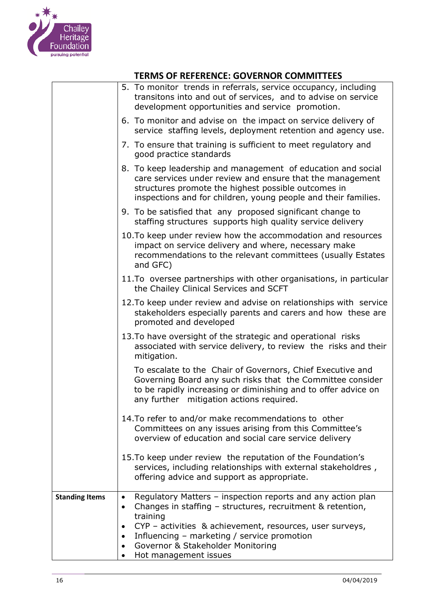

|                       | 5. To monitor trends in referrals, service occupancy, including<br>transitons into and out of services, and to advise on service<br>development opportunities and service promotion.                                                                                                                                                           |
|-----------------------|------------------------------------------------------------------------------------------------------------------------------------------------------------------------------------------------------------------------------------------------------------------------------------------------------------------------------------------------|
|                       | 6. To monitor and advise on the impact on service delivery of<br>service staffing levels, deployment retention and agency use.                                                                                                                                                                                                                 |
|                       | 7. To ensure that training is sufficient to meet regulatory and<br>good practice standards                                                                                                                                                                                                                                                     |
|                       | 8. To keep leadership and management of education and social<br>care services under review and ensure that the management<br>structures promote the highest possible outcomes in<br>inspections and for children, young people and their families.                                                                                             |
|                       | 9. To be satisfied that any proposed significant change to<br>staffing structures supports high quality service delivery                                                                                                                                                                                                                       |
|                       | 10. To keep under review how the accommodation and resources<br>impact on service delivery and where, necessary make<br>recommendations to the relevant committees (usually Estates<br>and GFC)                                                                                                                                                |
|                       | 11. To oversee partnerships with other organisations, in particular<br>the Chailey Clinical Services and SCFT                                                                                                                                                                                                                                  |
|                       | 12. To keep under review and advise on relationships with service<br>stakeholders especially parents and carers and how these are<br>promoted and developed                                                                                                                                                                                    |
|                       | 13. To have oversight of the strategic and operational risks<br>associated with service delivery, to review the risks and their<br>mitigation.                                                                                                                                                                                                 |
|                       | To escalate to the Chair of Governors, Chief Executive and<br>Governing Board any such risks that the Committee consider<br>to be rapidly increasing or diminishing and to offer advice on<br>any further mitigation actions required.                                                                                                         |
|                       | 14. To refer to and/or make recommendations to other<br>Committees on any issues arising from this Committee's<br>overview of education and social care service delivery                                                                                                                                                                       |
|                       | 15. To keep under review the reputation of the Foundation's<br>services, including relationships with external stakeholdres,<br>offering advice and support as appropriate.                                                                                                                                                                    |
| <b>Standing Items</b> | Regulatory Matters - inspection reports and any action plan<br>$\bullet$<br>Changes in staffing - structures, recruitment & retention,<br>$\bullet$<br>training<br>CYP – activities & achievement, resources, user surveys,<br>$\bullet$<br>Influencing - marketing / service promotion<br>$\bullet$<br>Governor & Stakeholder Monitoring<br>٠ |
|                       | Hot management issues                                                                                                                                                                                                                                                                                                                          |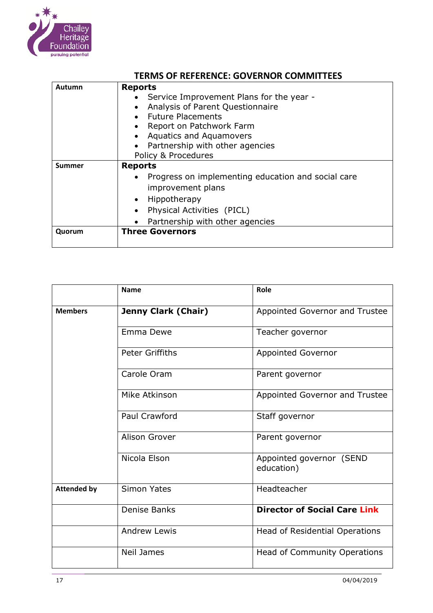

| Autumn | <b>Reports</b>                                                  |  |  |  |
|--------|-----------------------------------------------------------------|--|--|--|
|        | Service Improvement Plans for the year -                        |  |  |  |
|        | Analysis of Parent Questionnaire<br>$\bullet$                   |  |  |  |
|        | • Future Placements                                             |  |  |  |
|        | Report on Patchwork Farm<br>$\bullet$                           |  |  |  |
|        | <b>Aquatics and Aquamovers</b><br>$\bullet$                     |  |  |  |
|        | Partnership with other agencies                                 |  |  |  |
|        | Policy & Procedures                                             |  |  |  |
| Summer | <b>Reports</b>                                                  |  |  |  |
|        | Progress on implementing education and social care<br>$\bullet$ |  |  |  |
|        | improvement plans                                               |  |  |  |
|        | Hippotherapy<br>$\bullet$                                       |  |  |  |
|        | Physical Activities (PICL)<br>$\bullet$                         |  |  |  |
|        | Partnership with other agencies                                 |  |  |  |
| Quorum | <b>Three Governors</b>                                          |  |  |  |
|        |                                                                 |  |  |  |

|                    | <b>Name</b>                | Role                                   |
|--------------------|----------------------------|----------------------------------------|
| <b>Members</b>     | <b>Jenny Clark (Chair)</b> | Appointed Governor and Trustee         |
|                    | Emma Dewe                  | Teacher governor                       |
|                    | <b>Peter Griffiths</b>     | <b>Appointed Governor</b>              |
|                    | Carole Oram                | Parent governor                        |
|                    | Mike Atkinson              | Appointed Governor and Trustee         |
|                    | Paul Crawford              | Staff governor                         |
|                    | Alison Grover              | Parent governor                        |
|                    | Nicola Elson               | Appointed governor (SEND<br>education) |
| <b>Attended by</b> | <b>Simon Yates</b>         | Headteacher                            |
|                    | <b>Denise Banks</b>        | <b>Director of Social Care Link</b>    |
|                    | <b>Andrew Lewis</b>        | Head of Residential Operations         |
|                    | <b>Neil James</b>          | Head of Community Operations           |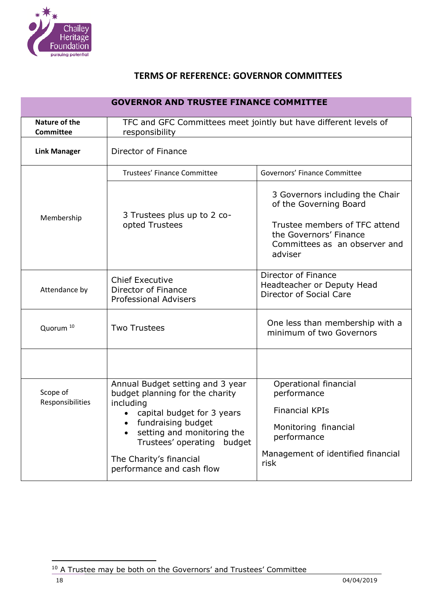

| <b>GOVERNOR AND TRUSTEE FINANCE COMMITTEE</b> |                                                                                                                                                                                                                                                               |                                                                                                                                                                  |  |
|-----------------------------------------------|---------------------------------------------------------------------------------------------------------------------------------------------------------------------------------------------------------------------------------------------------------------|------------------------------------------------------------------------------------------------------------------------------------------------------------------|--|
| Nature of the<br><b>Committee</b>             | TFC and GFC Committees meet jointly but have different levels of<br>responsibility                                                                                                                                                                            |                                                                                                                                                                  |  |
| <b>Link Manager</b>                           | Director of Finance                                                                                                                                                                                                                                           |                                                                                                                                                                  |  |
|                                               | Trustees' Finance Committee                                                                                                                                                                                                                                   | Governors' Finance Committee                                                                                                                                     |  |
| Membership                                    | 3 Trustees plus up to 2 co-<br>opted Trustees                                                                                                                                                                                                                 | 3 Governors including the Chair<br>of the Governing Board<br>Trustee members of TFC attend<br>the Governors' Finance<br>Committees as an observer and<br>adviser |  |
| Attendance by                                 | <b>Chief Executive</b><br>Director of Finance<br><b>Professional Advisers</b>                                                                                                                                                                                 | Director of Finance<br>Headteacher or Deputy Head<br>Director of Social Care                                                                                     |  |
| Quorum <sup>10</sup>                          | <b>Two Trustees</b>                                                                                                                                                                                                                                           | One less than membership with a<br>minimum of two Governors                                                                                                      |  |
|                                               |                                                                                                                                                                                                                                                               |                                                                                                                                                                  |  |
| Scope of<br>Responsibilities                  | Annual Budget setting and 3 year<br>budget planning for the charity<br>including<br>capital budget for 3 years<br>• fundraising budget<br>setting and monitoring the<br>Trustees' operating<br>budget<br>The Charity's financial<br>performance and cash flow | Operational financial<br>performance<br><b>Financial KPIs</b><br>Monitoring financial<br>performance<br>Management of identified financial<br>risk               |  |

<sup>&</sup>lt;sup>10</sup> A Trustee may be both on the Governors' and Trustees' Committee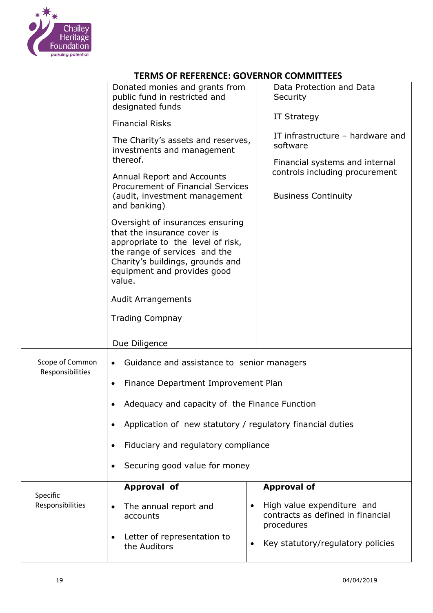

|                                     | Donated monies and grants from<br>public fund in restricted and<br>designated funds                                                                                                                                | Data Protection and Data<br>Security<br><b>IT Strategy</b>                     |
|-------------------------------------|--------------------------------------------------------------------------------------------------------------------------------------------------------------------------------------------------------------------|--------------------------------------------------------------------------------|
|                                     | <b>Financial Risks</b><br>The Charity's assets and reserves,<br>investments and management<br>thereof.                                                                                                             | IT infrastructure - hardware and<br>software<br>Financial systems and internal |
|                                     | <b>Annual Report and Accounts</b><br><b>Procurement of Financial Services</b><br>(audit, investment management<br>and banking)                                                                                     | controls including procurement<br><b>Business Continuity</b>                   |
|                                     | Oversight of insurances ensuring<br>that the insurance cover is<br>appropriate to the level of risk,<br>the range of services and the<br>Charity's buildings, grounds and<br>equipment and provides good<br>value. |                                                                                |
|                                     | <b>Audit Arrangements</b>                                                                                                                                                                                          |                                                                                |
|                                     | <b>Trading Compnay</b>                                                                                                                                                                                             |                                                                                |
|                                     | Due Diligence                                                                                                                                                                                                      |                                                                                |
| Scope of Common<br>Responsibilities | Guidance and assistance to senior managers<br>$\bullet$                                                                                                                                                            |                                                                                |
|                                     | Finance Department Improvement Plan<br>٠                                                                                                                                                                           |                                                                                |
|                                     | Adequacy and capacity of the Finance Function                                                                                                                                                                      |                                                                                |
|                                     | Application of new statutory / regulatory financial duties<br>$\bullet$                                                                                                                                            |                                                                                |
|                                     | Fiduciary and regulatory compliance<br>$\bullet$                                                                                                                                                                   |                                                                                |
|                                     | Securing good value for money<br>$\bullet$                                                                                                                                                                         |                                                                                |
| Specific                            | Approval of                                                                                                                                                                                                        | <b>Approval of</b>                                                             |
| Responsibilities                    | The annual report and<br>$\bullet$<br>accounts                                                                                                                                                                     | High value expenditure and<br>contracts as defined in financial<br>procedures  |
|                                     | Letter of representation to<br>$\bullet$<br>the Auditors                                                                                                                                                           | Key statutory/regulatory policies                                              |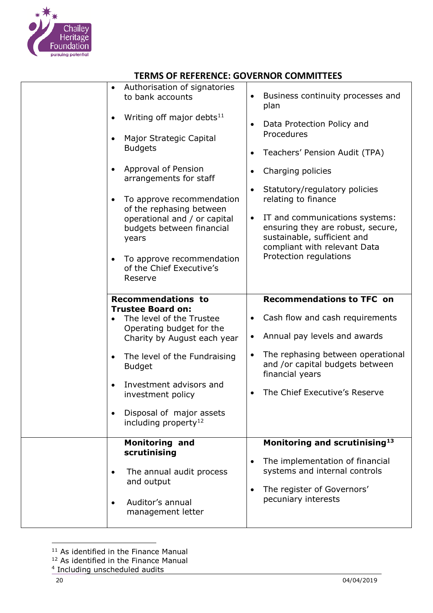

| to bank accounts<br>Writing off major debts $^{11}$<br>$\bullet$<br>Major Strategic Capital<br>$\bullet$<br><b>Budgets</b><br>Approval of Pension<br>$\bullet$<br>arrangements for staff<br>To approve recommendation<br>٠<br>of the rephasing between<br>operational and / or capital<br>budgets between financial<br>years<br>To approve recommendation<br>of the Chief Executive's<br>Reserve | Business continuity processes and<br>$\bullet$<br>plan<br>Data Protection Policy and<br>Procedures<br>Teachers' Pension Audit (TPA)<br>$\bullet$<br>Charging policies<br>٠<br>Statutory/regulatory policies<br>$\bullet$<br>relating to finance<br>IT and communications systems:<br>$\bullet$<br>ensuring they are robust, secure,<br>sustainable, sufficient and<br>compliant with relevant Data<br>Protection regulations |
|--------------------------------------------------------------------------------------------------------------------------------------------------------------------------------------------------------------------------------------------------------------------------------------------------------------------------------------------------------------------------------------------------|------------------------------------------------------------------------------------------------------------------------------------------------------------------------------------------------------------------------------------------------------------------------------------------------------------------------------------------------------------------------------------------------------------------------------|
| <b>Recommendations to</b><br><b>Trustee Board on:</b><br>The level of the Trustee<br>$\bullet$<br>Operating budget for the<br>Charity by August each year<br>The level of the Fundraising<br>$\bullet$<br><b>Budget</b><br>Investment advisors and<br>$\bullet$<br>investment policy<br>Disposal of major assets<br>including property <sup>12</sup>                                             | <b>Recommendations to TFC on</b><br>Cash flow and cash requirements<br>$\bullet$<br>Annual pay levels and awards<br>٠<br>The rephasing between operational<br>$\bullet$<br>and /or capital budgets between<br>financial years<br>The Chief Executive's Reserve                                                                                                                                                               |
| <b>Monitoring and</b><br>scrutinising<br>The annual audit process<br>and output<br>Auditor's annual<br>$\bullet$<br>management letter                                                                                                                                                                                                                                                            | Monitoring and scrutinising <sup>13</sup><br>The implementation of financial<br>٠<br>systems and internal controls<br>The register of Governors'<br>$\bullet$<br>pecuniary interests                                                                                                                                                                                                                                         |

<sup>&</sup>lt;sup>11</sup> As identified in the Finance Manual

j

<sup>&</sup>lt;sup>12</sup> As identified in the Finance Manual

<sup>4</sup> Including unscheduled audits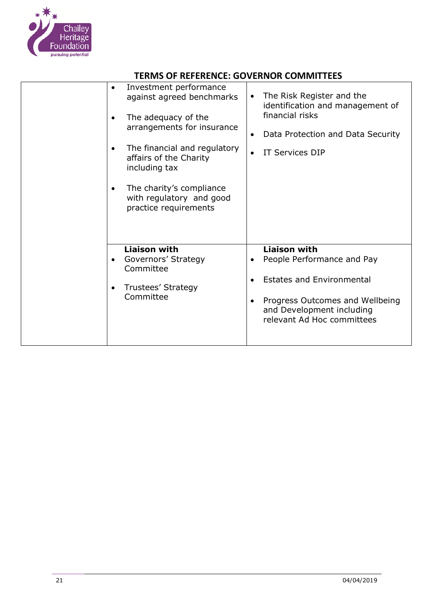

| Investment performance<br>$\bullet$<br>against agreed benchmarks<br>The adequacy of the<br>$\bullet$<br>arrangements for insurance<br>The financial and regulatory<br>$\bullet$<br>affairs of the Charity<br>including tax<br>The charity's compliance<br>٠<br>with regulatory and good<br>practice requirements | The Risk Register and the<br>$\bullet$<br>identification and management of<br>financial risks<br>Data Protection and Data Security<br>$\bullet$<br><b>IT Services DIP</b>                                     |
|------------------------------------------------------------------------------------------------------------------------------------------------------------------------------------------------------------------------------------------------------------------------------------------------------------------|---------------------------------------------------------------------------------------------------------------------------------------------------------------------------------------------------------------|
| <b>Liaison with</b><br>Governors' Strategy<br>$\bullet$<br>Committee<br>Trustees' Strategy<br>$\bullet$<br>Committee                                                                                                                                                                                             | <b>Liaison with</b><br>People Performance and Pay<br>$\bullet$<br><b>Estates and Environmental</b><br>Progress Outcomes and Wellbeing<br>$\bullet$<br>and Development including<br>relevant Ad Hoc committees |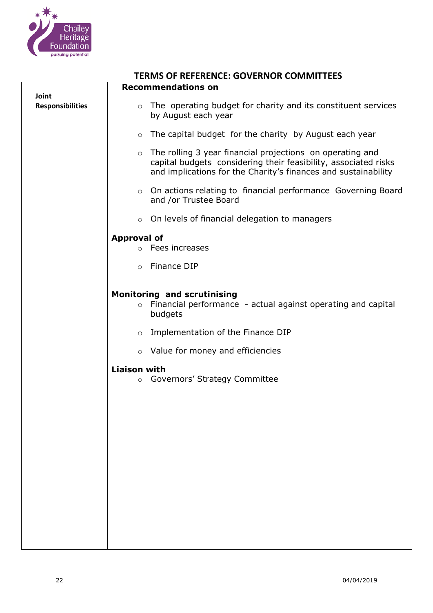

| <b>TERMS OF REFERENCE: GOVERNOR COMMITTEES</b> |                                                                                                                                                                                                           |  |  |
|------------------------------------------------|-----------------------------------------------------------------------------------------------------------------------------------------------------------------------------------------------------------|--|--|
|                                                | <b>Recommendations on</b>                                                                                                                                                                                 |  |  |
| Joint<br><b>Responsibilities</b>               | The operating budget for charity and its constituent services<br>$\circ$                                                                                                                                  |  |  |
|                                                | by August each year                                                                                                                                                                                       |  |  |
|                                                | The capital budget for the charity by August each year<br>$\circ$                                                                                                                                         |  |  |
|                                                | The rolling 3 year financial projections on operating and<br>$\circ$<br>capital budgets considering their feasibility, associated risks<br>and implications for the Charity's finances and sustainability |  |  |
|                                                | On actions relating to financial performance Governing Board<br>$\circ$<br>and /or Trustee Board                                                                                                          |  |  |
|                                                | On levels of financial delegation to managers<br>$\circ$                                                                                                                                                  |  |  |
|                                                | <b>Approval of</b>                                                                                                                                                                                        |  |  |
|                                                | Fees increases<br>$\circ$                                                                                                                                                                                 |  |  |
|                                                | Finance DIP<br>$\circ$                                                                                                                                                                                    |  |  |
|                                                | <b>Monitoring and scrutinising</b>                                                                                                                                                                        |  |  |
|                                                | Financial performance - actual against operating and capital<br>$\circ$<br>budgets                                                                                                                        |  |  |
|                                                | Implementation of the Finance DIP<br>$\circ$                                                                                                                                                              |  |  |
|                                                | o Value for money and efficiencies                                                                                                                                                                        |  |  |
|                                                | <b>Liaison with</b>                                                                                                                                                                                       |  |  |
|                                                | Governors' Strategy Committee<br>$\circ$                                                                                                                                                                  |  |  |
|                                                |                                                                                                                                                                                                           |  |  |
|                                                |                                                                                                                                                                                                           |  |  |
|                                                |                                                                                                                                                                                                           |  |  |
|                                                |                                                                                                                                                                                                           |  |  |
|                                                |                                                                                                                                                                                                           |  |  |
|                                                |                                                                                                                                                                                                           |  |  |
|                                                |                                                                                                                                                                                                           |  |  |
|                                                |                                                                                                                                                                                                           |  |  |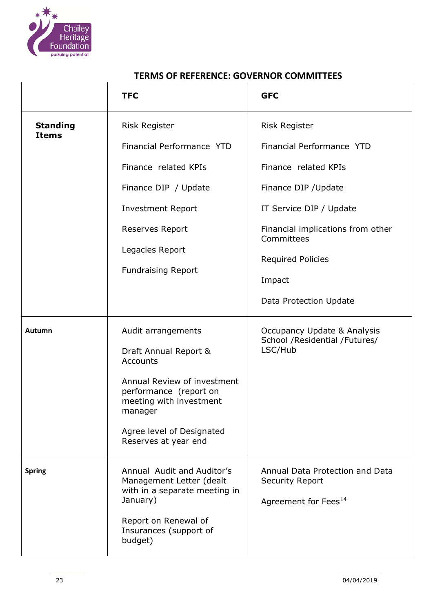

|                                 | <b>TFC</b>                                                                                                                                                                                                  | <b>GFC</b>                                                                                                                                                                                                                                      |
|---------------------------------|-------------------------------------------------------------------------------------------------------------------------------------------------------------------------------------------------------------|-------------------------------------------------------------------------------------------------------------------------------------------------------------------------------------------------------------------------------------------------|
| <b>Standing</b><br><b>Items</b> | <b>Risk Register</b><br>Financial Performance YTD<br>Finance related KPIs<br>Finance DIP / Update<br><b>Investment Report</b><br>Reserves Report<br>Legacies Report<br><b>Fundraising Report</b>            | <b>Risk Register</b><br>Financial Performance YTD<br>Finance related KPIs<br>Finance DIP / Update<br>IT Service DIP / Update<br>Financial implications from other<br>Committees<br><b>Required Policies</b><br>Impact<br>Data Protection Update |
| Autumn                          | Audit arrangements<br>Draft Annual Report &<br>Accounts<br>Annual Review of investment<br>performance (report on<br>meeting with investment<br>manager<br>Agree level of Designated<br>Reserves at year end | Occupancy Update & Analysis<br>School /Residential /Futures/<br>LSC/Hub                                                                                                                                                                         |
| <b>Spring</b>                   | Annual Audit and Auditor's<br>Management Letter (dealt<br>with in a separate meeting in<br>January)<br>Report on Renewal of<br>Insurances (support of<br>budget)                                            | Annual Data Protection and Data<br><b>Security Report</b><br>Agreement for Fees <sup>14</sup>                                                                                                                                                   |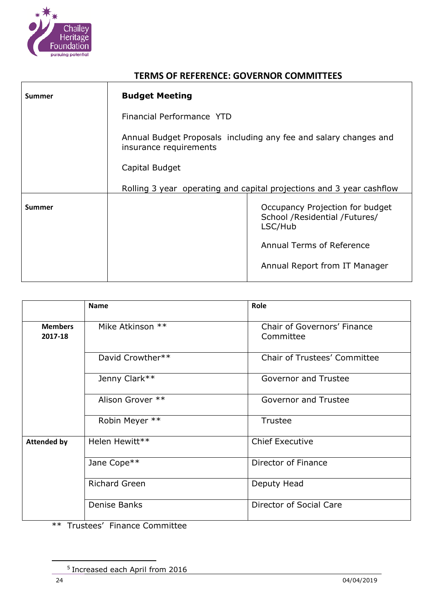

| Summer | <b>Budget Meeting</b>                                                                      |                                                                             |
|--------|--------------------------------------------------------------------------------------------|-----------------------------------------------------------------------------|
|        | Financial Performance YTD                                                                  |                                                                             |
|        | Annual Budget Proposals including any fee and salary changes and<br>insurance requirements |                                                                             |
|        | Capital Budget                                                                             |                                                                             |
|        | Rolling 3 year operating and capital projections and 3 year cashflow                       |                                                                             |
| Summer |                                                                                            | Occupancy Projection for budget<br>School /Residential /Futures/<br>LSC/Hub |
|        |                                                                                            | Annual Terms of Reference                                                   |
|        |                                                                                            | Annual Report from IT Manager                                               |

|                           | <b>Name</b>          | Role                                     |
|---------------------------|----------------------|------------------------------------------|
| <b>Members</b><br>2017-18 | Mike Atkinson **     | Chair of Governors' Finance<br>Committee |
|                           | David Crowther**     | <b>Chair of Trustees' Committee</b>      |
|                           | Jenny Clark**        | <b>Governor and Trustee</b>              |
|                           | Alison Grover **     | <b>Governor and Trustee</b>              |
|                           | Robin Meyer **       | Trustee                                  |
| <b>Attended by</b>        | Helen Hewitt**       | <b>Chief Executive</b>                   |
|                           | Jane Cope**          | Director of Finance                      |
|                           | <b>Richard Green</b> | Deputy Head                              |
|                           | Denise Banks         | Director of Social Care                  |

\*\* Trustees' Finance Committee

<sup>5</sup> Increased each April from 2016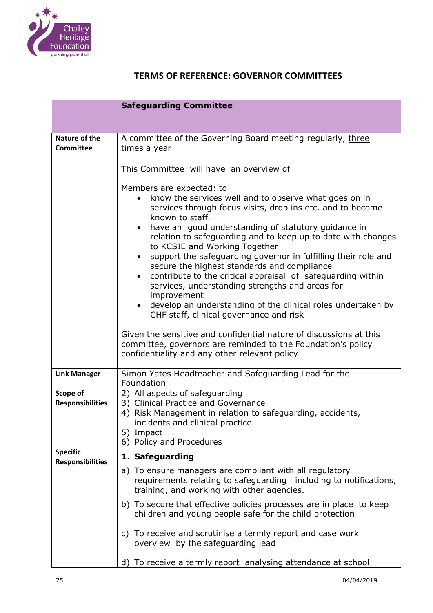

|                                            | <b>Safeguarding Committee</b>                                                                                                                                                                                                                                                                                                                                                                                                                                                                                                                                                                                                                                                                                                                                                                                                                                                                                         |  |
|--------------------------------------------|-----------------------------------------------------------------------------------------------------------------------------------------------------------------------------------------------------------------------------------------------------------------------------------------------------------------------------------------------------------------------------------------------------------------------------------------------------------------------------------------------------------------------------------------------------------------------------------------------------------------------------------------------------------------------------------------------------------------------------------------------------------------------------------------------------------------------------------------------------------------------------------------------------------------------|--|
|                                            |                                                                                                                                                                                                                                                                                                                                                                                                                                                                                                                                                                                                                                                                                                                                                                                                                                                                                                                       |  |
| Nature of the<br><b>Committee</b>          | A committee of the Governing Board meeting regularly, three<br>times a year                                                                                                                                                                                                                                                                                                                                                                                                                                                                                                                                                                                                                                                                                                                                                                                                                                           |  |
|                                            | This Committee will have an overview of                                                                                                                                                                                                                                                                                                                                                                                                                                                                                                                                                                                                                                                                                                                                                                                                                                                                               |  |
|                                            | Members are expected: to<br>know the services well and to observe what goes on in<br>services through focus visits, drop ins etc. and to become<br>known to staff.<br>have an good understanding of statutory guidance in<br>$\bullet$<br>relation to safeguarding and to keep up to date with changes<br>to KCSIE and Working Together<br>support the safeguarding governor in fulfilling their role and<br>$\bullet$<br>secure the highest standards and compliance<br>contribute to the critical appraisal of safeguarding within<br>services, understanding strengths and areas for<br>improvement<br>develop an understanding of the clinical roles undertaken by<br>$\bullet$<br>CHF staff, clinical governance and risk<br>Given the sensitive and confidential nature of discussions at this<br>committee, governors are reminded to the Foundation's policy<br>confidentiality and any other relevant policy |  |
| <b>Link Manager</b>                        | Simon Yates Headteacher and Safeguarding Lead for the<br>Foundation                                                                                                                                                                                                                                                                                                                                                                                                                                                                                                                                                                                                                                                                                                                                                                                                                                                   |  |
| Scope of<br><b>Responsibilities</b>        | 2) All aspects of safeguarding<br>3) Clinical Practice and Governance<br>4) Risk Management in relation to safeguarding, accidents,<br>incidents and clinical practice<br>5) Impact<br>6) Policy and Procedures                                                                                                                                                                                                                                                                                                                                                                                                                                                                                                                                                                                                                                                                                                       |  |
| <b>Specific</b><br><b>Responsibilities</b> | 1. Safeguarding                                                                                                                                                                                                                                                                                                                                                                                                                                                                                                                                                                                                                                                                                                                                                                                                                                                                                                       |  |
|                                            | a) To ensure managers are compliant with all regulatory<br>requirements relating to safeguarding including to notifications,<br>training, and working with other agencies.                                                                                                                                                                                                                                                                                                                                                                                                                                                                                                                                                                                                                                                                                                                                            |  |
|                                            | b) To secure that effective policies processes are in place to keep<br>children and young people safe for the child protection                                                                                                                                                                                                                                                                                                                                                                                                                                                                                                                                                                                                                                                                                                                                                                                        |  |
|                                            | c) To receive and scrutinise a termly report and case work<br>overview by the safeguarding lead                                                                                                                                                                                                                                                                                                                                                                                                                                                                                                                                                                                                                                                                                                                                                                                                                       |  |
|                                            | d) To receive a termly report analysing attendance at school                                                                                                                                                                                                                                                                                                                                                                                                                                                                                                                                                                                                                                                                                                                                                                                                                                                          |  |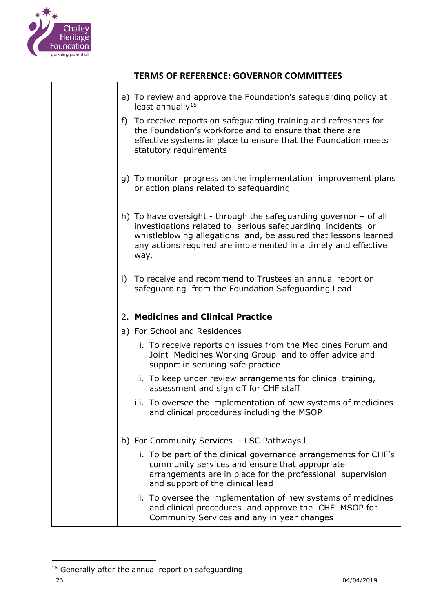

 $\Gamma$ 

T

## **TERMS OF REFERENCE: GOVERNOR COMMITTEES**

| e) To review and approve the Foundation's safeguarding policy at<br>least annually <sup>15</sup>                                                                                                                                                                                |
|---------------------------------------------------------------------------------------------------------------------------------------------------------------------------------------------------------------------------------------------------------------------------------|
| f) To receive reports on safeguarding training and refreshers for<br>the Foundation's workforce and to ensure that there are<br>effective systems in place to ensure that the Foundation meets<br>statutory requirements                                                        |
| g) To monitor progress on the implementation improvement plans<br>or action plans related to safeguarding                                                                                                                                                                       |
| h) To have oversight - through the safeguarding governor $-$ of all<br>investigations related to serious safeguarding incidents or<br>whistleblowing allegations and, be assured that lessons learned<br>any actions required are implemented in a timely and effective<br>way. |
| i) To receive and recommend to Trustees an annual report on<br>safeguarding from the Foundation Safeguarding Lead                                                                                                                                                               |
| 2. Medicines and Clinical Practice                                                                                                                                                                                                                                              |
| a) For School and Residences                                                                                                                                                                                                                                                    |
| i. To receive reports on issues from the Medicines Forum and<br>Joint Medicines Working Group and to offer advice and<br>support in securing safe practice                                                                                                                      |
| ii. To keep under review arrangements for clinical training,<br>assessment and sign off for CHF staff                                                                                                                                                                           |
| iii. To oversee the implementation of new systems of medicines<br>and clinical procedures including the MSOP                                                                                                                                                                    |
| b) For Community Services - LSC Pathways I                                                                                                                                                                                                                                      |
| i. To be part of the clinical governance arrangements for CHF's<br>community services and ensure that appropriate<br>arrangements are in place for the professional supervision<br>and support of the clinical lead                                                             |
| ii. To oversee the implementation of new systems of medicines<br>and clinical procedures and approve the CHF MSOP for<br>Community Services and any in year changes                                                                                                             |

<sup>&</sup>lt;sup>15</sup> Generally after the annual report on safeguarding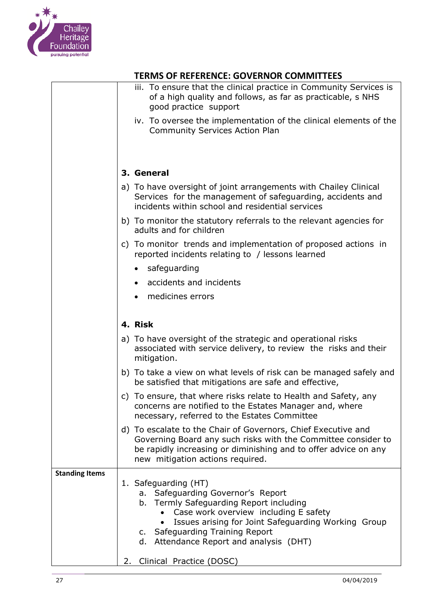

|                       | iii. To ensure that the clinical practice in Community Services is                                                                                                                                                                    |
|-----------------------|---------------------------------------------------------------------------------------------------------------------------------------------------------------------------------------------------------------------------------------|
|                       | of a high quality and follows, as far as practicable, s NHS<br>good practice support                                                                                                                                                  |
|                       | iv. To oversee the implementation of the clinical elements of the<br><b>Community Services Action Plan</b>                                                                                                                            |
|                       |                                                                                                                                                                                                                                       |
|                       | 3. General                                                                                                                                                                                                                            |
|                       | a) To have oversight of joint arrangements with Chailey Clinical<br>Services for the management of safeguarding, accidents and<br>incidents within school and residential services                                                    |
|                       | b) To monitor the statutory referrals to the relevant agencies for<br>adults and for children                                                                                                                                         |
|                       | c) To monitor trends and implementation of proposed actions in<br>reported incidents relating to / lessons learned                                                                                                                    |
|                       | safeguarding<br>$\bullet$                                                                                                                                                                                                             |
|                       | accidents and incidents                                                                                                                                                                                                               |
|                       | medicines errors                                                                                                                                                                                                                      |
|                       | 4. Risk                                                                                                                                                                                                                               |
|                       |                                                                                                                                                                                                                                       |
|                       | a) To have oversight of the strategic and operational risks<br>associated with service delivery, to review the risks and their<br>mitigation.                                                                                         |
|                       | b) To take a view on what levels of risk can be managed safely and<br>be satisfied that mitigations are safe and effective,                                                                                                           |
|                       | c) To ensure, that where risks relate to Health and Safety, any<br>concerns are notified to the Estates Manager and, where<br>necessary, referred to the Estates Committee                                                            |
|                       | d) To escalate to the Chair of Governors, Chief Executive and<br>Governing Board any such risks with the Committee consider to<br>be rapidly increasing or diminishing and to offer advice on any<br>new mitigation actions required. |
| <b>Standing Items</b> |                                                                                                                                                                                                                                       |
|                       | 1. Safeguarding (HT)<br>a. Safeguarding Governor's Report                                                                                                                                                                             |
|                       | b. Termly Safeguarding Report including                                                                                                                                                                                               |
|                       | Case work overview including E safety<br>Issues arising for Joint Safeguarding Working Group                                                                                                                                          |
|                       | c. Safeguarding Training Report                                                                                                                                                                                                       |
|                       | d. Attendance Report and analysis (DHT)                                                                                                                                                                                               |
|                       | Clinical Practice (DOSC)<br>2.                                                                                                                                                                                                        |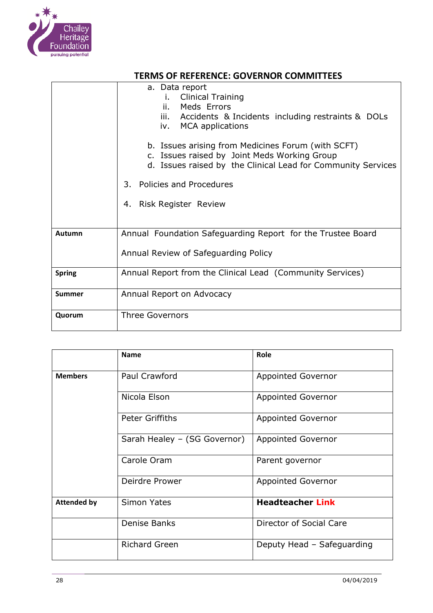

|               | a. Data report<br><b>Clinical Training</b><br>i.<br>Meds Errors<br>ii.<br>iii. Accidents & Incidents including restraints & DOLs<br>iv. MCA applications           |  |
|---------------|--------------------------------------------------------------------------------------------------------------------------------------------------------------------|--|
|               | b. Issues arising from Medicines Forum (with SCFT)<br>c. Issues raised by Joint Meds Working Group<br>d. Issues raised by the Clinical Lead for Community Services |  |
|               | Policies and Procedures<br>3.                                                                                                                                      |  |
|               | Risk Register Review<br>4.                                                                                                                                         |  |
| Autumn        | Annual Foundation Safeguarding Report for the Trustee Board                                                                                                        |  |
|               | Annual Review of Safeguarding Policy                                                                                                                               |  |
| <b>Spring</b> | Annual Report from the Clinical Lead (Community Services)                                                                                                          |  |
| <b>Summer</b> | Annual Report on Advocacy                                                                                                                                          |  |
| Quorum        | <b>Three Governors</b>                                                                                                                                             |  |

|                    | <b>Name</b>                  | Role                       |
|--------------------|------------------------------|----------------------------|
| <b>Members</b>     | Paul Crawford                | <b>Appointed Governor</b>  |
|                    | Nicola Elson                 | <b>Appointed Governor</b>  |
|                    | Peter Griffiths              | Appointed Governor         |
|                    | Sarah Healey - (SG Governor) | <b>Appointed Governor</b>  |
|                    | Carole Oram                  | Parent governor            |
|                    | Deirdre Prower               | Appointed Governor         |
| <b>Attended by</b> | <b>Simon Yates</b>           | <b>Headteacher Link</b>    |
|                    | Denise Banks                 | Director of Social Care    |
|                    | <b>Richard Green</b>         | Deputy Head - Safeguarding |